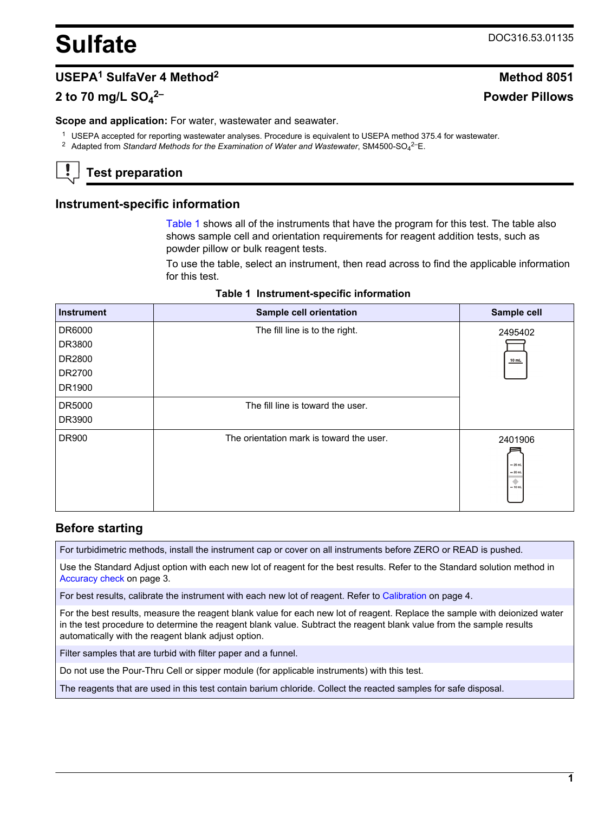# <span id="page-0-0"></span>**Sulfate** DOC316.53.01135

**2– Powder Pillows**

# **USEPA<sup>1</sup> SulfaVer 4 Method<sup>2</sup> Method 8051**

# **2 to 70 mg/L SO<sup>4</sup>**

**Scope and application:** For water, wastewater and seawater.

- <sup>1</sup> USEPA accepted for reporting wastewater analyses. Procedure is equivalent to USEPA method 375.4 for wastewater.
- <sup>2</sup> Adapted from Standard Methods for the Examination of Water and Wastewater, SM4500-SO<sub>4</sub><sup>2-</sup>E.

# **Test preparation**

## **Instrument-specific information**

Table 1 shows all of the instruments that have the program for this test. The table also shows sample cell and orientation requirements for reagent addition tests, such as powder pillow or bulk reagent tests.

To use the table, select an instrument, then read across to find the applicable information for this test.

|  | Table 1 Instrument-specific information |  |  |
|--|-----------------------------------------|--|--|
|--|-----------------------------------------|--|--|

| <b>Instrument</b> | Sample cell orientation                  | Sample cell                                        |
|-------------------|------------------------------------------|----------------------------------------------------|
| DR6000            | The fill line is to the right.           | 2495402                                            |
| DR3800            |                                          |                                                    |
| DR2800            |                                          | 10 mL                                              |
| DR2700            |                                          |                                                    |
| DR1900            |                                          |                                                    |
| DR5000            | The fill line is toward the user.        |                                                    |
| DR3900            |                                          |                                                    |
| DR900             | The orientation mark is toward the user. | 2401906<br>$-25$ mL<br>$= 20$ mL<br>۰<br>$= 10$ mL |

## **Before starting**

For turbidimetric methods, install the instrument cap or cover on all instruments before ZERO or READ is pushed.

Use the Standard Adjust option with each new lot of reagent for the best results. Refer to the Standard solution method in [Accuracy check](#page-2-0) on page 3.

For best results, calibrate the instrument with each new lot of reagent. Refer to [Calibration](#page-3-0) on page 4.

For the best results, measure the reagent blank value for each new lot of reagent. Replace the sample with deionized water in the test procedure to determine the reagent blank value. Subtract the reagent blank value from the sample results automatically with the reagent blank adjust option.

Filter samples that are turbid with filter paper and a funnel.

Do not use the Pour-Thru Cell or sipper module (for applicable instruments) with this test.

The reagents that are used in this test contain barium chloride. Collect the reacted samples for safe disposal.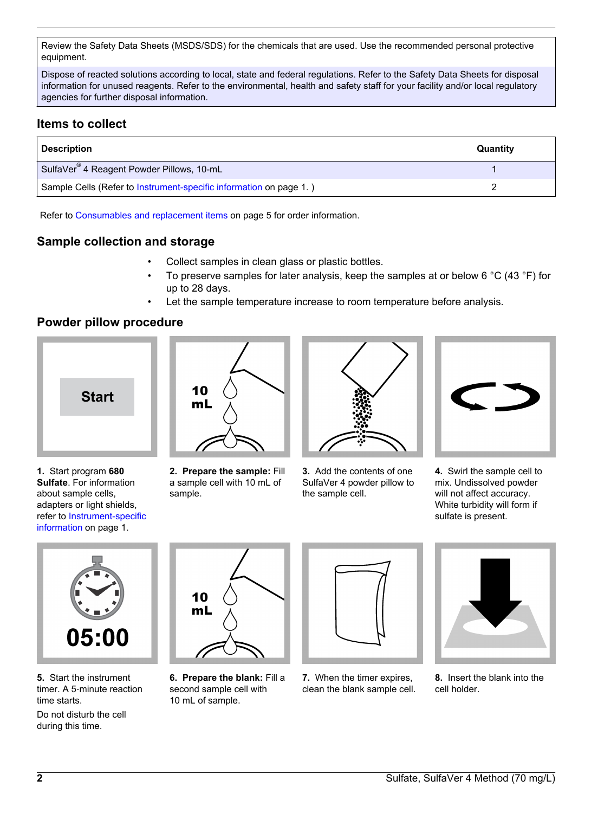Review the Safety Data Sheets (MSDS/SDS) for the chemicals that are used. Use the recommended personal protective equipment.

Dispose of reacted solutions according to local, state and federal regulations. Refer to the Safety Data Sheets for disposal information for unused reagents. Refer to the environmental, health and safety staff for your facility and/or local regulatory agencies for further disposal information.

# **Items to collect**

| <b>Description</b>                                                 | Quantity |
|--------------------------------------------------------------------|----------|
| SulfaVer <sup>®</sup> 4 Reagent Powder Pillows, 10-mL              |          |
| Sample Cells (Refer to Instrument-specific information on page 1.) |          |

Refer to [Consumables and replacement items](#page-4-0) on page 5 for order information.

# **Sample collection and storage**

- Collect samples in clean glass or plastic bottles.
- To preserve samples for later analysis, keep the samples at or below 6 °C (43 °F) for up to 28 days.
	- Let the sample temperature increase to room temperature before analysis.

# **Powder pillow procedure**



**1.** Start program **680 Sulfate**. For information about sample cells, adapters or light shields, refer to [Instrument-specific](#page-0-0) [information](#page-0-0) on page 1.



**2. Prepare the sample:** Fill a sample cell with 10 mL of sample.



**3.** Add the contents of one SulfaVer 4 powder pillow to the sample cell.



**4.** Swirl the sample cell to mix. Undissolved powder will not affect accuracy. White turbidity will form if sulfate is present.



**5.** Start the instrument timer. A 5‑minute reaction time starts.

Do not disturb the cell during this time.



**6. Prepare the blank:** Fill a second sample cell with 10 mL of sample.



**7.** When the timer expires, clean the blank sample cell.



**8.** Insert the blank into the cell holder.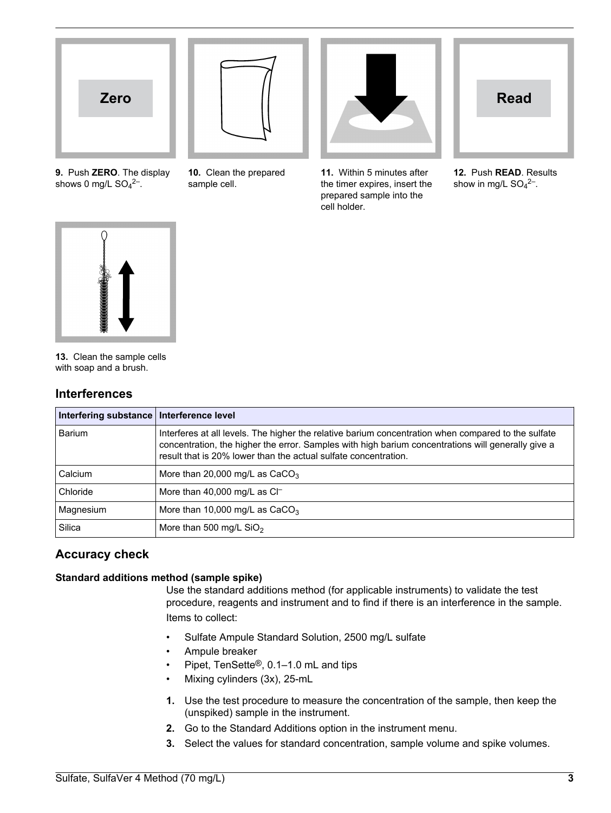

<span id="page-2-0"></span>

**9.** Push **ZERO**. The display shows 0 mg/L  $SO_4^2$ <sup>-</sup>.

**10.** Clean the prepared sample cell.



**11.** Within 5 minutes after the timer expires, insert the prepared sample into the cell holder.

| <b>Read</b> |  |
|-------------|--|
|             |  |
|             |  |

**12.** Push **READ**. Results show in mg/L  $SO_4^2$ <sup>-</sup>.



**13.** Clean the sample cells with soap and a brush.

# **Interferences**

| Interfering substance | Interference level                                                                                                                                                                                                                                                           |
|-----------------------|------------------------------------------------------------------------------------------------------------------------------------------------------------------------------------------------------------------------------------------------------------------------------|
| Barium                | Interferes at all levels. The higher the relative barium concentration when compared to the sulfate<br>concentration, the higher the error. Samples with high barium concentrations will generally give a<br>result that is 20% lower than the actual sulfate concentration. |
| Calcium               | More than 20,000 mg/L as $CaCO3$                                                                                                                                                                                                                                             |
| Chloride              | More than 40,000 mg/L as $Cl^-$                                                                                                                                                                                                                                              |
| Magnesium             | More than 10,000 mg/L as $CaCO3$                                                                                                                                                                                                                                             |
| Silica                | More than 500 mg/L $SiO2$                                                                                                                                                                                                                                                    |

# **Accuracy check**

## **Standard additions method (sample spike)**

Use the standard additions method (for applicable instruments) to validate the test procedure, reagents and instrument and to find if there is an interference in the sample. Items to collect:

- Sulfate Ampule Standard Solution, 2500 mg/L sulfate
- Ampule breaker
- Pipet, TenSette®, 0.1–1.0 mL and tips
- Mixing cylinders (3x), 25-mL
- **1.** Use the test procedure to measure the concentration of the sample, then keep the (unspiked) sample in the instrument.
- **2.** Go to the Standard Additions option in the instrument menu.
- **3.** Select the values for standard concentration, sample volume and spike volumes.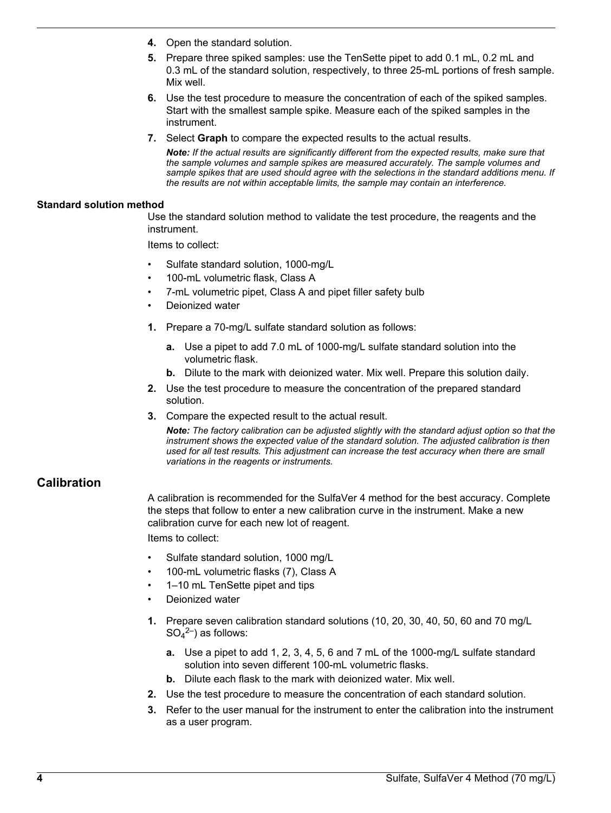- <span id="page-3-0"></span>**4.** Open the standard solution.
- **5.** Prepare three spiked samples: use the TenSette pipet to add 0.1 mL, 0.2 mL and 0.3 mL of the standard solution, respectively, to three 25-mL portions of fresh sample. Mix well.
- **6.** Use the test procedure to measure the concentration of each of the spiked samples. Start with the smallest sample spike. Measure each of the spiked samples in the instrument.
- **7.** Select **Graph** to compare the expected results to the actual results.

*Note: If the actual results are significantly different from the expected results, make sure that the sample volumes and sample spikes are measured accurately. The sample volumes and sample spikes that are used should agree with the selections in the standard additions menu. If the results are not within acceptable limits, the sample may contain an interference.*

#### **Standard solution method**

Use the standard solution method to validate the test procedure, the reagents and the instrument.

Items to collect:

- Sulfate standard solution, 1000-mg/L
- 100-mL volumetric flask, Class A
- 7-mL volumetric pipet, Class A and pipet filler safety bulb
- Deionized water
- **1.** Prepare a 70-mg/L sulfate standard solution as follows:
	- **a.** Use a pipet to add 7.0 mL of 1000-mg/L sulfate standard solution into the volumetric flask.
	- **b.** Dilute to the mark with deionized water. Mix well. Prepare this solution daily.
- **2.** Use the test procedure to measure the concentration of the prepared standard solution.
- **3.** Compare the expected result to the actual result.

*Note: The factory calibration can be adjusted slightly with the standard adjust option so that the instrument shows the expected value of the standard solution. The adjusted calibration is then used for all test results. This adjustment can increase the test accuracy when there are small variations in the reagents or instruments.*

# **Calibration**

A calibration is recommended for the SulfaVer 4 method for the best accuracy. Complete the steps that follow to enter a new calibration curve in the instrument. Make a new calibration curve for each new lot of reagent.

Items to collect:

- Sulfate standard solution, 1000 mg/L
- 100-mL volumetric flasks (7), Class A
- 1–10 mL TenSette pipet and tips
- Deionized water
- **1.** Prepare seven calibration standard solutions (10, 20, 30, 40, 50, 60 and 70 mg/L  $SO_4{}^{2-}$ ) as follows:
	- **a.** Use a pipet to add 1, 2, 3, 4, 5, 6 and 7 mL of the 1000-mg/L sulfate standard solution into seven different 100-mL volumetric flasks.
	- **b.** Dilute each flask to the mark with deionized water. Mix well.
- **2.** Use the test procedure to measure the concentration of each standard solution.
- **3.** Refer to the user manual for the instrument to enter the calibration into the instrument as a user program.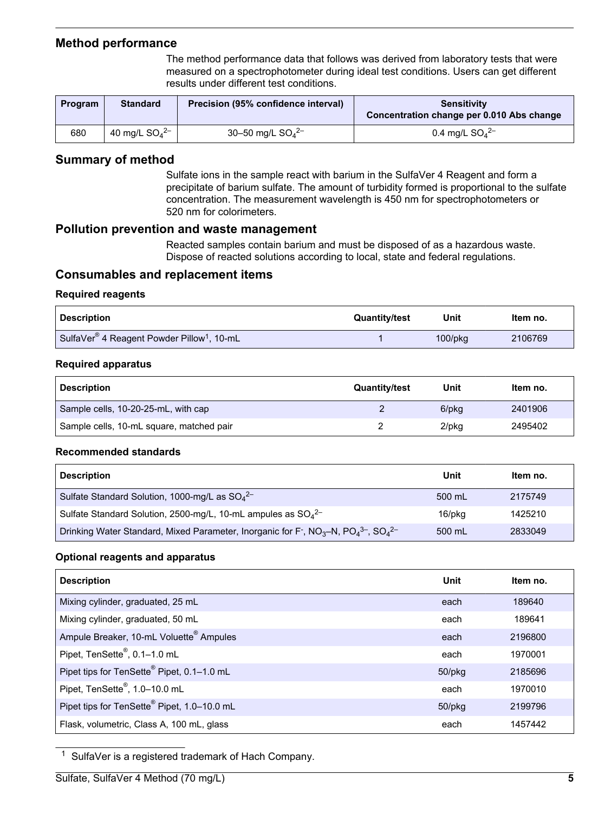## <span id="page-4-0"></span>**Method performance**

The method performance data that follows was derived from laboratory tests that were measured on a spectrophotometer during ideal test conditions. Users can get different results under different test conditions.

| Program | <b>Standard</b>     | Precision (95% confidence interval) | <b>Sensitivity</b><br>Concentration change per 0.010 Abs change |
|---------|---------------------|-------------------------------------|-----------------------------------------------------------------|
| 680     | 40 mg/L $SO_4^{2-}$ | 30-50 mg/L $SO_4^{2-}$              | 0.4 mg/L $SO_4^{2-}$                                            |

## **Summary of method**

Sulfate ions in the sample react with barium in the SulfaVer 4 Reagent and form a precipitate of barium sulfate. The amount of turbidity formed is proportional to the sulfate concentration. The measurement wavelength is 450 nm for spectrophotometers or 520 nm for colorimeters.

## **Pollution prevention and waste management**

Reacted samples contain barium and must be disposed of as a hazardous waste. Dispose of reacted solutions according to local, state and federal regulations.

## **Consumables and replacement items**

## **Required reagents**

| <b>Description</b>                                                 | <b>Quantity/test</b> | Unit          | ltem no. |
|--------------------------------------------------------------------|----------------------|---------------|----------|
| SulfaVer <sup>®</sup> 4 Reagent Powder Pillow <sup>1</sup> , 10-mL |                      | $100$ /p $kg$ | 2106769  |

## **Required apparatus**

| <b>Description</b>                       | <b>Quantity/test</b> | Unit  | Item no. |
|------------------------------------------|----------------------|-------|----------|
| Sample cells, 10-20-25-mL, with cap      |                      | 6/pkg | 2401906  |
| Sample cells, 10-mL square, matched pair |                      | 2/pkg | 2495402  |

#### **Recommended standards**

| <b>Description</b>                                                                                                                                         | Unit   | Item no. |
|------------------------------------------------------------------------------------------------------------------------------------------------------------|--------|----------|
| Sulfate Standard Solution, 1000-mg/L as $SO_4^{2-}$                                                                                                        | 500 mL | 2175749  |
| Sulfate Standard Solution, 2500-mg/L, 10-mL ampules as $SO_4^{2-}$                                                                                         | 16/pkg | 1425210  |
| Drinking Water Standard, Mixed Parameter, Inorganic for F <sup>-</sup> , NO <sub>3</sub> -N, PO <sub>4</sub> <sup>3-</sup> , SO <sub>4</sub> <sup>2-</sup> | 500 mL | 2833049  |

## **Optional reagents and apparatus**

| <b>Description</b>                                      | Unit         | Item no. |
|---------------------------------------------------------|--------------|----------|
| Mixing cylinder, graduated, 25 mL                       | each         | 189640   |
| Mixing cylinder, graduated, 50 mL                       | each         | 189641   |
| Ampule Breaker, 10-mL Voluette <sup>®</sup> Ampules     | each         | 2196800  |
| Pipet, TenSette <sup>®</sup> , 0.1-1.0 mL               | each         | 1970001  |
| Pipet tips for TenSette <sup>®</sup> Pipet, 0.1-1.0 mL  | $50$ /p $kg$ | 2185696  |
| Pipet, TenSette <sup>®</sup> , 1.0-10.0 mL              | each         | 1970010  |
| Pipet tips for TenSette <sup>®</sup> Pipet, 1.0-10.0 mL | 50/pkg       | 2199796  |
| Flask, volumetric, Class A, 100 mL, glass               | each         | 1457442  |

<sup>1</sup> SulfaVer is a registered trademark of Hach Company.